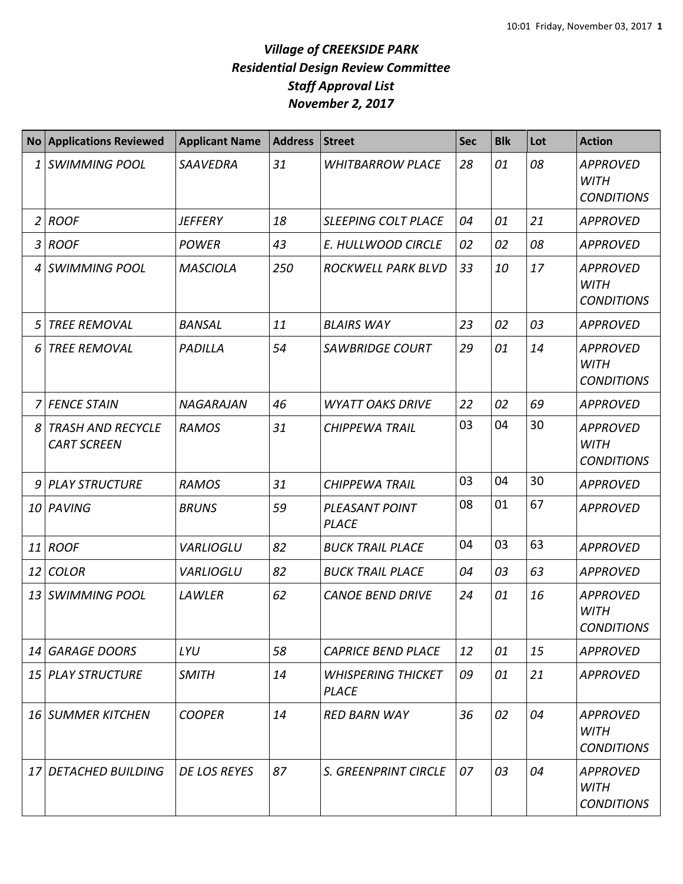## *Village of CREEKSIDE PARK Residential Design Review Committee Staff Approval List November 2, 2017*

|    | No Applications Reviewed                       | <b>Applicant Name</b> | <b>Address</b> | <b>Street</b>                             | <b>Sec</b> | <b>Blk</b> | Lot | <b>Action</b>                                       |
|----|------------------------------------------------|-----------------------|----------------|-------------------------------------------|------------|------------|-----|-----------------------------------------------------|
| 1  | <b>SWIMMING POOL</b>                           | <b>SAAVEDRA</b>       | 31             | <b>WHITBARROW PLACE</b>                   | 28         | 01         | 08  | <b>APPROVED</b><br><b>WITH</b><br><b>CONDITIONS</b> |
| 2  | <b>ROOF</b>                                    | <b>JEFFERY</b>        | 18             | <b>SLEEPING COLT PLACE</b>                | 04         | 01         | 21  | <b>APPROVED</b>                                     |
| 3  | <b>ROOF</b>                                    | <b>POWER</b>          | 43             | E. HULLWOOD CIRCLE                        | 02         | 02         | 08  | <b>APPROVED</b>                                     |
| 4  | <b>SWIMMING POOL</b>                           | <b>MASCIOLA</b>       | 250            | ROCKWELL PARK BLVD                        | 33         | 10         | 17  | <b>APPROVED</b><br><b>WITH</b><br><b>CONDITIONS</b> |
| 5  | <b>TREE REMOVAL</b>                            | <b>BANSAL</b>         | 11             | <b>BLAIRS WAY</b>                         | 23         | 02         | 03  | <b>APPROVED</b>                                     |
| 6  | <b>TREE REMOVAL</b>                            | PADILLA               | 54             | <b>SAWBRIDGE COURT</b>                    | 29         | 01         | 14  | <b>APPROVED</b><br><b>WITH</b><br><b>CONDITIONS</b> |
| 7  | <b>FENCE STAIN</b>                             | <b>NAGARAJAN</b>      | 46             | <b>WYATT OAKS DRIVE</b>                   | 22         | 02         | 69  | <b>APPROVED</b>                                     |
| 8  | <b>TRASH AND RECYCLE</b><br><b>CART SCREEN</b> | <b>RAMOS</b>          | 31             | <b>CHIPPEWA TRAIL</b>                     | 03         | 04         | 30  | <b>APPROVED</b><br><b>WITH</b><br><b>CONDITIONS</b> |
| 9  | PLAY STRUCTURE                                 | <b>RAMOS</b>          | 31             | <b>CHIPPEWA TRAIL</b>                     | 03         | 04         | 30  | <b>APPROVED</b>                                     |
|    | 10 PAVING                                      | <b>BRUNS</b>          | 59             | <b>PLEASANT POINT</b><br><b>PLACE</b>     | 08         | 01         | 67  | <b>APPROVED</b>                                     |
| 11 | <b>ROOF</b>                                    | <b>VARLIOGLU</b>      | 82             | <b>BUCK TRAIL PLACE</b>                   | 04         | 03         | 63  | <b>APPROVED</b>                                     |
| 12 | <b>COLOR</b>                                   | <b>VARLIOGLU</b>      | 82             | <b>BUCK TRAIL PLACE</b>                   | 04         | 03         | 63  | <b>APPROVED</b>                                     |
| 13 | <b>SWIMMING POOL</b>                           | LAWLER                | 62             | <b>CANOE BEND DRIVE</b>                   | 24         | 01         | 16  | <b>APPROVED</b><br><b>WITH</b><br><b>CONDITIONS</b> |
| 14 | GARAGE DOORS                                   | LYU                   | 58             | <b>CAPRICE BEND PLACE</b>                 | 12         | 01         | 15  | <b>APPROVED</b>                                     |
|    | 15 PLAY STRUCTURE                              | <b>SMITH</b>          | 14             | <b>WHISPERING THICKET</b><br><b>PLACE</b> | 09         | 01         | 21  | <b>APPROVED</b>                                     |
|    | 16 SUMMER KITCHEN                              | <b>COOPER</b>         | 14             | <b>RED BARN WAY</b>                       | 36         | 02         | 04  | <b>APPROVED</b><br><b>WITH</b><br><b>CONDITIONS</b> |
| 17 | <b>DETACHED BUILDING</b>                       | DE LOS REYES          | 87             | S. GREENPRINT CIRCLE                      | 07         | 03         | 04  | <b>APPROVED</b><br><b>WITH</b><br><b>CONDITIONS</b> |